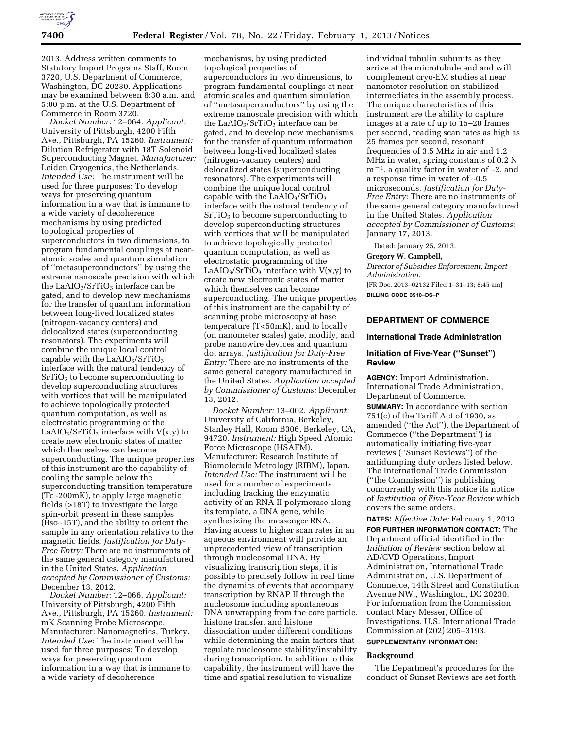

2013. Address written comments to Statutory Import Programs Staff, Room 3720, U.S. Department of Commerce, Washington, DC 20230. Applications may be examined between 8:30 a.m. and 5:00 p.m. at the U.S. Department of Commerce in Room 3720.

*Docket Number:* 12–064. *Applicant:*  University of Pittsburgh, 4200 Fifth Ave., Pittsburgh, PA 15260. *Instrument:*  Dilution Refrigerator with 18T Solenoid Superconducting Magnet. *Manufacturer:*  Leiden Cryogenics, the Netherlands. *Intended Use:* The instrument will be used for three purposes: To develop ways for preserving quantum information in a way that is immune to a wide variety of decoherence mechanisms by using predicted topological properties of superconductors in two dimensions, to program fundamental couplings at nearatomic scales and quantum simulation of ''metasuperconductors'' by using the extreme nanoscale precision with which the LaAIO<sub>3</sub>/SrTiO<sub>3</sub> interface can be gated, and to develop new mechanisms for the transfer of quantum information between long-lived localized states (nitrogen-vacancy centers) and delocalized states (superconducting resonators). The experiments will combine the unique local control capable with the  $LaAIO<sub>3</sub>/SrTiO<sub>3</sub>$ interface with the natural tendency of  $SrTiO<sub>3</sub>$  to become superconducting to develop superconducting structures with vortices that will be manipulated to achieve topologically protected quantum computation, as well as electrostatic programming of the LaAIO<sub>3</sub>/SrTiO<sub>3</sub> interface with  $V(x,y)$  to create new electronic states of matter which themselves can become superconducting. The unique properties of this instrument are the capability of cooling the sample below the superconducting transition temperature (Tc∼200mK), to apply large magnetic fields (>18T) to investigate the large spin-orbit present in these samples (Bso∼15T), and the ability to orient the sample in any orientation relative to the magnetic fields. *Justification for Duty-Free Entry:* There are no instruments of the same general category manufactured in the United States. *Application accepted by Commissioner of Customs:*  December 13, 2012.

*Docket Number:* 12–066. *Applicant:*  University of Pittsburgh, 4200 Fifth Ave., Pittsburgh, PA 15260. *Instrument:*  mK Scanning Probe Microscope. Manufacturer: Nanomagnetics, Turkey. *Intended Use:* The instrument will be used for three purposes: To develop ways for preserving quantum information in a way that is immune to a wide variety of decoherence

mechanisms, by using predicted topological properties of superconductors in two dimensions, to program fundamental couplings at nearatomic scales and quantum simulation of ''metasuperconductors'' by using the extreme nanoscale precision with which the LaAIO<sub>3</sub>/SrTiO<sub>3</sub> interface can be gated, and to develop new mechanisms for the transfer of quantum information between long-lived localized states (nitrogen-vacancy centers) and delocalized states (superconducting resonators). The experiments will combine the unique local control capable with the  $LaAlO<sub>3</sub>/SrTiO<sub>3</sub>$ interface with the natural tendency of  $SrTiO<sub>3</sub>$  to become superconducting to develop superconducting structures with vortices that will be manipulated to achieve topologically protected quantum computation, as well as electrostatic programming of the LaAIO<sub>3</sub>/SrTiO<sub>3</sub> interface with  $V(x,y)$  to create new electronic states of matter which themselves can become superconducting. The unique properties of this instrument are the capability of scanning probe microscopy at base temperature (T<50mK), and to locally (on nanometer scales) gate, modify, and probe nanowire devices and quantum dot arrays. *Justification for Duty-Free Entry:* There are no instruments of the same general category manufactured in the United States*. Application accepted by Commissioner of Customs:* December 13, 2012.

*Docket Number:* 13–002. *Applicant:*  University of California, Berkeley, Stanley Hall, Room B306, Berkeley, CA, 94720. *Instrument:* High Speed Atomic Force Microscope (HSAFM). Manufacturer: Research Institute of Biomolecule Metrology (RIBM), Japan. *Intended Use:* The instrument will be used for a number of experiments including tracking the enzymatic activity of an RNA II polymerase along its template, a DNA gene, while synthesizing the messenger RNA. Having access to higher scan rates in an aqueous environment will provide an unprecedented view of transcription through nucleosomal DNA. By visualizing transcription steps, it is possible to precisely follow in real time the dynamics of events that accompany transcription by RNAP II through the nucleosome including spontaneous DNA unwrapping from the core particle, histone transfer, and histone dissociation under different conditions while determining the main factors that regulate nucleosome stability/instability during transcription. In addition to this capability, the instrument will have the time and spatial resolution to visualize

individual tubulin subunits as they arrive at the microtubule end and will complement cryo-EM studies at near nanometer resolution on stabilized intermediates in the assembly process. The unique characteristics of this instrument are the ability to capture images at a rate of up to 15–20 frames per second, reading scan rates as high as 25 frames per second, resonant frequencies of 3.5 MHz in air and 1.2 MHz in water, spring constants of 0.2 N m<sup>-1</sup>, a quality factor in water of ~2, and a response time in water of ∼0.5 microseconds. *Justification for Duty-Free Entry:* There are no instruments of the same general category manufactured in the United States. *Application accepted by Commissioner of Customs:*  January 17, 2013.

Dated: January 25, 2013.

#### **Gregory W. Campbell,**

*Director of Subsidies Enforcement, Import Administration.* 

[FR Doc. 2013–02132 Filed 1–31–13; 8:45 am] **BILLING CODE 3510–DS–P** 

# **DEPARTMENT OF COMMERCE**

#### **International Trade Administration**

# **Initiation of Five-Year (''Sunset'') Review**

**AGENCY:** Import Administration, International Trade Administration, Department of Commerce.

**SUMMARY:** In accordance with section  $751(c)$  of the Tariff Act of 1930, as amended (''the Act''), the Department of Commerce (''the Department'') is automatically initiating five-year reviews (''Sunset Reviews'') of the antidumping duty orders listed below. The International Trade Commission (''the Commission'') is publishing concurrently with this notice its notice of *Institution of Five-Year Review* which covers the same orders.

**DATES:** *Effective Date:* February 1, 2013.

**FOR FURTHER INFORMATION CONTACT:** The Department official identified in the *Initiation of Review* section below at AD/CVD Operations, Import Administration, International Trade Administration, U.S. Department of Commerce, 14th Street and Constitution Avenue NW., Washington, DC 20230. For information from the Commission contact Mary Messer, Office of Investigations, U.S. International Trade Commission at (202) 205–3193.

# **SUPPLEMENTARY INFORMATION:**

#### **Background**

The Department's procedures for the conduct of Sunset Reviews are set forth